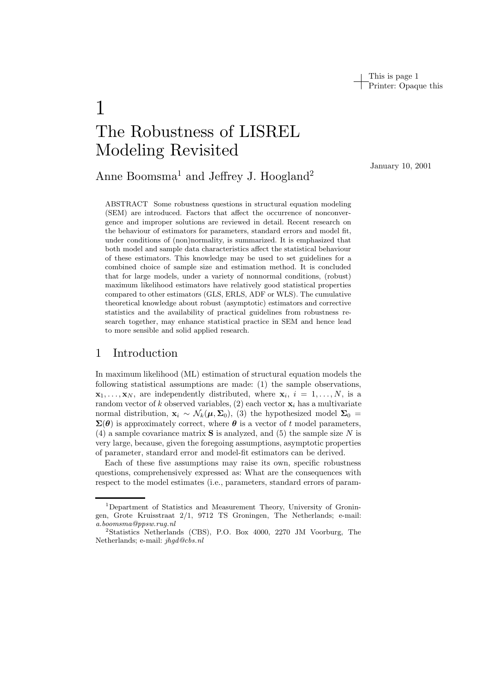This is page 1 Printer: Opaque this

# 1 The Robustness of LISREL Modeling Revisited

Anne Boomsma<sup>1</sup> and Jeffrey J. Hoogland<sup>2</sup>

ABSTRACT Some robustness questions in structural equation modeling (SEM) are introduced. Factors that affect the occurrence of nonconvergence and improper solutions are reviewed in detail. Recent research on the behaviour of estimators for parameters, standard errors and model fit, under conditions of (non)normality, is summarized. It is emphasized that both model and sample data characteristics affect the statistical behaviour of these estimators. This knowledge may be used to set guidelines for a combined choice of sample size and estimation method. It is concluded that for large models, under a variety of nonnormal conditions, (robust) maximum likelihood estimators have relatively good statistical properties compared to other estimators (GLS, ERLS, ADF or WLS). The cumulative theoretical knowledge about robust (asymptotic) estimators and corrective statistics and the availability of practical guidelines from robustness research together, may enhance statistical practice in SEM and hence lead to more sensible and solid applied research.

# 1 Introduction

In maximum likelihood (ML) estimation of structural equation models the following statistical assumptions are made: (1) the sample observations,  $\mathbf{x}_1, \ldots, \mathbf{x}_N$ , are independently distributed, where  $\mathbf{x}_i$ ,  $i = 1, \ldots, N$ , is a random vector of k observed variables,  $(2)$  each vector  $\mathbf{x}_i$  has a multivariate normal distribution,  $\mathbf{x}_i \sim \mathcal{N}_k(\boldsymbol{\mu}, \boldsymbol{\Sigma}_0)$ , (3) the hypothesized model  $\boldsymbol{\Sigma}_0 =$  $\Sigma(\theta)$  is approximately correct, where  $\theta$  is a vector of t model parameters, (4) a sample covariance matrix **S** is analyzed, and (5) the sample size N is very large, because, given the foregoing assumptions, asymptotic properties of parameter, standard error and model-fit estimators can be derived.

Each of these five assumptions may raise its own, specific robustness questions, comprehensively expressed as: What are the consequences with respect to the model estimates (i.e., parameters, standard errors of paramJanuary 10, 2001

<sup>&</sup>lt;sup>1</sup>Department of Statistics and Measurement Theory, University of Groningen, Grote Kruisstraat 2/1, 9712 TS Groningen, The Netherlands; e-mail: *a.boomsma@ppsw.rug.nl*

<sup>2</sup>Statistics Netherlands (CBS), P.O. Box 4000, 2270 JM Voorburg, The Netherlands; e-mail: *jhgd@cbs.nl*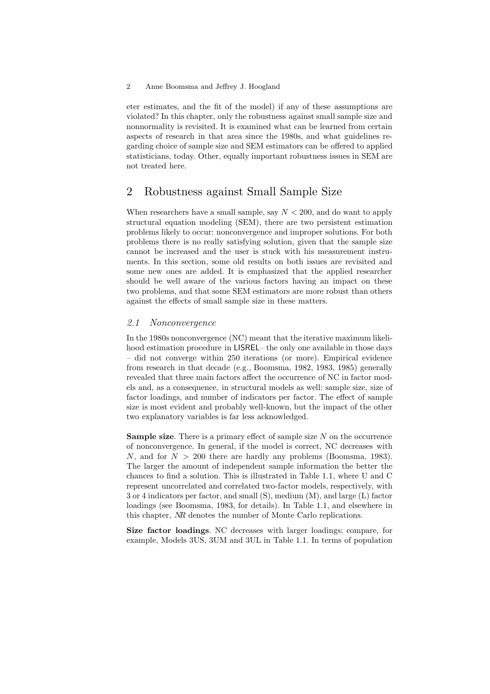eter estimates, and the fit of the model) if any of these assumptions are violated? In this chapter, only the robustness against small sample size and nonnormality is revisited. It is examined what can be learned from certain aspects of research in that area since the 1980s, and what guidelines regarding choice of sample size and SEM estimators can be offered to applied statisticians, today. Other, equally important robustness issues in SEM are not treated here.

# 2 Robustness against Small Sample Size

When researchers have a small sample, say  $N < 200$ , and do want to apply structural equation modeling (SEM), there are two persistent estimation problems likely to occur: nonconvergence and improper solutions. For both problems there is no really satisfying solution, given that the sample size cannot be increased and the user is stuck with his measurement instruments. In this section, some old results on both issues are revisited and some new ones are added. It is emphasized that the applied researcher should be well aware of the various factors having an impact on these two problems, and that some SEM estimators are more robust than others against the effects of small sample size in these matters.

*2.1 Nonconvergence* In the 1980s nonconvergence (NC) meant that the iterative maximum likelihood estimation procedure in LISREL– the only one available in those days  $-$  did not converge within 250 iterations (or more). Empirical evidence from research in that decade (e.g., Boomsma, 1982, 1983, 1985) generally revealed that three main factors affect the occurrence of NC in factor models and, as a consequence, in structural models as well: sample size, size of factor loadings, and number of indicators per factor. The effect of sample size is most evident and probably well-known, but the impact of the other two explanatory variables is far less acknowledged.

**Sample size**. There is a primary effect of sample size N on the occurrence of nonconvergence. In general, if the model is correct, NC decreases with N, and for  $N > 200$  there are hardly any problems (Boomsma, 1983). The larger the amount of independent sample information the better the chances to find a solution. This is illustrated in Table 1.1, where U and C represent uncorrelated and correlated two-factor models, respectively, with 3 or 4 indicators per factor, and small (S), medium (M), and large (L) factor loadings (see Boomsma, 1983, for details). In Table 1.1, and elsewhere in this chapter, NR denotes the number of Monte Carlo replications.

**Size factor loadings**. NC decreases with larger loadings; compare, for example, Models 3US, 3UM and 3UL in Table 1.1. In terms of population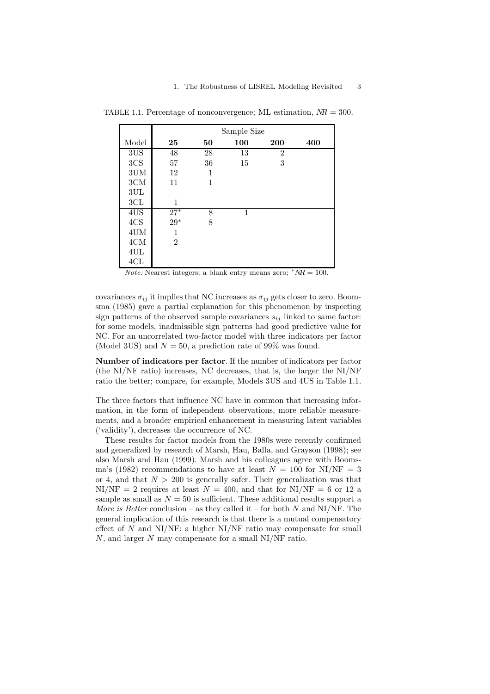|                 |                |    | Sample Size |                |     |
|-----------------|----------------|----|-------------|----------------|-----|
| Model           | 25             | 50 | 100         | 200            | 400 |
| 3US             | 48             | 28 | 13          | $\overline{2}$ |     |
| 3CS             | 57             | 36 | 15          | 3              |     |
| $3 \mathrm{UM}$ | 12             | 1  |             |                |     |
| $3\mathrm{CM}$  | 11             | 1  |             |                |     |
| 3UL             |                |    |             |                |     |
| 3CL             | 1              |    |             |                |     |
| 4US             | $27^*$         | 8  | 1           |                |     |
| 4CS             | $29*$          | 8  |             |                |     |
| $4\mathrm{UM}$  | 1              |    |             |                |     |
| $4 \mathrm{CM}$ | $\overline{2}$ |    |             |                |     |
| $4\mathrm{UL}$  |                |    |             |                |     |
| 4CL             |                |    |             |                |     |

TABLE 1.1. Percentage of nonconvergence; ML estimation,  $NR = 300$ .

*Note:* Nearest integers; a blank entry means zero;  $*NR = 100$ .

covariances  $\sigma_{ij}$  it implies that NC increases as  $\sigma_{ij}$  gets closer to zero. Boomsma (1985) gave a partial explanation for this phenomenon by inspecting sign patterns of the observed sample covariances  $s_{ij}$  linked to same factor: for some models, inadmissible sign patterns had good predictive value for NC. For an uncorrelated two-factor model with three indicators per factor (Model 3US) and  $N = 50$ , a prediction rate of 99% was found.

**Number of indicators per factor**. If the number of indicators per factor (the NI/NF ratio) increases, NC decreases, that is, the larger the NI/NF ratio the better; compare, for example, Models 3US and 4US in Table 1.1.

The three factors that influence NC have in common that increasing information, in the form of independent observations, more reliable measurements, and a broader empirical enhancement in measuring latent variables ('validity'), decreases the occurrence of NC.

These results for factor models from the 1980s were recently confirmed and generalized by research of Marsh, Hau, Balla, and Grayson (1998); see also Marsh and Hau (1999). Marsh and his colleagues agree with Boomsma's (1982) recommendations to have at least  $N = 100$  for NI/NF = 3 or 4, and that  $N > 200$  is generally safer. Their generalization was that  $NI/NF = 2$  requires at least  $N = 400$ , and that for  $NI/NF = 6$  or 12 a sample as small as  $N = 50$  is sufficient. These additional results support a *More is Better* conclusion – as they called it – for both  $N$  and NI/NF. The general implication of this research is that there is a mutual compensatory effect of  $N$  and NI/NF: a higher NI/NF ratio may compensate for small N, and larger N may compensate for a small NI/NF ratio.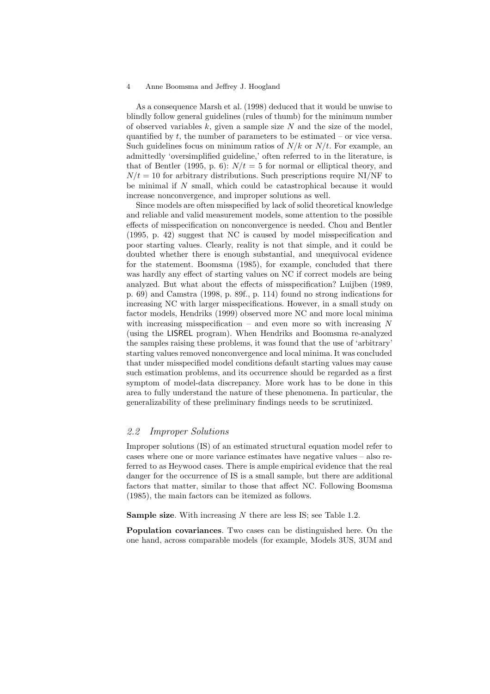As a consequence Marsh et al. (1998) deduced that it would be unwise to blindly follow general guidelines (rules of thumb) for the minimum number of observed variables  $k$ , given a sample size  $N$  and the size of the model, quantified by  $t$ , the number of parameters to be estimated – or vice versa. Such guidelines focus on minimum ratios of  $N/k$  or  $N/t$ . For example, an admittedly 'oversimplified guideline,' often referred to in the literature, is that of Bentler (1995, p. 6):  $N/t = 5$  for normal or elliptical theory, and  $N/t = 10$  for arbitrary distributions. Such prescriptions require NI/NF to be minimal if  $N$  small, which could be catastrophical because it would increase nonconvergence, and improper solutions as well.

Since models are often misspecified by lack of solid theoretical knowledge and reliable and valid measurement models, some attention to the possible effects of misspecification on nonconvergence is needed. Chou and Bentler (1995, p. 42) suggest that NC is caused by model misspecification and poor starting values. Clearly, reality is not that simple, and it could be doubted whether there is enough substantial, and unequivocal evidence for the statement. Boomsma (1985), for example, concluded that there was hardly any effect of starting values on NC if correct models are being analyzed. But what about the effects of misspecification? Luijben (1989, p. 69) and Camstra (1998, p. 89f., p. 114) found no strong indications for increasing NC with larger misspecifications. However, in a small study on factor models, Hendriks (1999) observed more NC and more local minima with increasing misspecification – and even more so with increasing  $N$ (using the LISREL program). When Hendriks and Boomsma re-analyzed the samples raising these problems, it was found that the use of 'arbitrary' starting values removed nonconvergence and local minima. It was concluded that under misspecified model conditions default starting values may cause such estimation problems, and its occurrence should be regarded as a first symptom of model-data discrepancy. More work has to be done in this area to fully understand the nature of these phenomena. In particular, the generalizability of these preliminary findings needs to be scrutinized.

#### 2.2 *2.2 Improper Solutions*

Improper solutions (IS) of an estimated structural equation model refer to cases where one or more variance estimates have negative values – also referred to as Heywood cases. There is ample empirical evidence that the real danger for the occurrence of IS is a small sample, but there are additional factors that matter, similar to those that affect NC. Following Boomsma (1985), the main factors can be itemized as follows.

**Sample size.** With increasing N there are less IS; see Table 1.2.

**Population covariances**. Two cases can be distinguished here. On the one hand, across comparable models (for example, Models 3US, 3UM and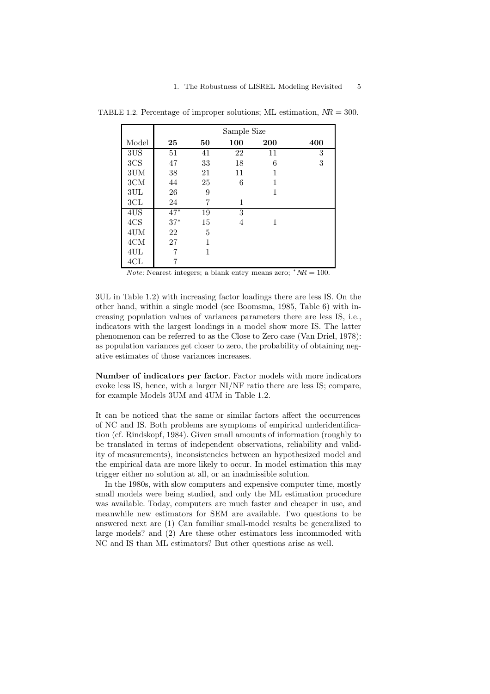|                 |       |    | Sample Size |     |     |
|-----------------|-------|----|-------------|-----|-----|
| Model           | 25    | 50 | 100         | 200 | 400 |
| 3US             | 51    | 41 | 22          | 11  | 3   |
| 3CS             | 47    | 33 | 18          | 6   | 3   |
| 3UM             | 38    | 21 | 11          | 1   |     |
| $3\mathrm{CM}$  | 44    | 25 | 6           |     |     |
| 3UL             | 26    | 9  |             | 1   |     |
| 3CL             | 24    | 7  | 1           |     |     |
| 4US             | $47*$ | 19 | 3           |     |     |
| 4CS             | $37*$ | 15 | 4           | 1   |     |
| 4UM             | 22    | 5  |             |     |     |
| $4 \mathrm{CM}$ | 27    | 1  |             |     |     |
| 4UL             |       | 1  |             |     |     |
| 4CL             |       |    |             |     |     |

TABLE 1.2. Percentage of improper solutions; ML estimation,  $NR = 300$ .

*Note:* Nearest integers; a blank entry means zero;  $*NR = 100$ .

3UL in Table 1.2) with increasing factor loadings there are less IS. On the other hand, within a single model (see Boomsma, 1985, Table 6) with increasing population values of variances parameters there are less IS, i.e., indicators with the largest loadings in a model show more IS. The latter phenomenon can be referred to as the Close to Zero case (Van Driel, 1978): as population variances get closer to zero, the probability of obtaining negative estimates of those variances increases.

**Number of indicators per factor**. Factor models with more indicators evoke less IS, hence, with a larger NI/NF ratio there are less IS; compare, for example Models 3UM and 4UM in Table 1.2.

It can be noticed that the same or similar factors affect the occurrences of NC and IS. Both problems are symptoms of empirical underidentification (cf. Rindskopf, 1984). Given small amounts of information (roughly to be translated in terms of independent observations, reliability and validity of measurements), inconsistencies between an hypothesized model and the empirical data are more likely to occur. In model estimation this may trigger either no solution at all, or an inadmissible solution.

In the 1980s, with slow computers and expensive computer time, mostly small models were being studied, and only the ML estimation procedure was available. Today, computers are much faster and cheaper in use, and meanwhile new estimators for SEM are available. Two questions to be answered next are (1) Can familiar small-model results be generalized to large models? and (2) Are these other estimators less incommoded with NC and IS than ML estimators? But other questions arise as well.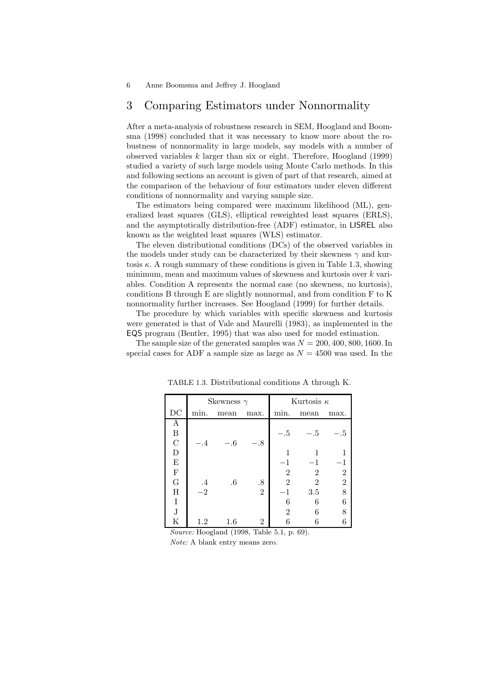# 3 Comparing Estimators under Nonnormality

After a meta-analysis of robustness research in SEM, Hoogland and Boomsma (1998) concluded that it was necessary to know more about the robustness of nonnormality in large models, say models with a number of observed variables  $k$  larger than six or eight. Therefore, Hoogland (1999) studied a variety of such large models using Monte Carlo methods. In this and following sections an account is given of part of that research, aimed at the comparison of the behaviour of four estimators under eleven different conditions of nonnormality and varying sample size.

The estimators being compared were maximum likelihood (ML), generalized least squares (GLS), elliptical reweighted least squares (ERLS), and the asymptotically distribution-free (ADF) estimator, in LISREL also known as the weighted least squares (WLS) estimator.

The eleven distributional conditions (DCs) of the observed variables in the models under study can be characterized by their skewness  $\gamma$  and kurtosis  $\kappa$ . A rough summary of these conditions is given in Table 1.3, showing minimum, mean and maximum values of skewness and kurtosis over k variables. Condition A represents the normal case (no skewness, no kurtosis), conditions B through E are slightly nonnormal, and from condition F to K nonnormality further increases. See Hoogland (1999) for further details.

The procedure by which variables with specific skewness and kurtosis were generated is that of Vale and Maurelli (1983), as implemented in the EQS program (Bentler, 1995) that was also used for model estimation.

The sample size of the generated samples was  $N = 200, 400, 800, 1600$ . In special cases for ADF a sample size as large as  $N = 4500$  was used. In the

|                                                         |            | Skewness $\gamma$                             |                |                | Kurtosis $\kappa$ |                  |
|---------------------------------------------------------|------------|-----------------------------------------------|----------------|----------------|-------------------|------------------|
| DC                                                      | min.       | mean                                          | max.           | min.           | mean              | max.             |
| Α                                                       |            |                                               |                |                |                   |                  |
| $\begin{array}{c} \mathbf{B} \\ \mathbf{C} \end{array}$ |            |                                               |                | $-.5$          | $-.5\,$           | 5                |
|                                                         | $-.4$      | $-.6$                                         | $-.8$          |                |                   |                  |
| D                                                       |            |                                               |                |                |                   |                  |
| $\mathbf E$                                             |            |                                               |                | $-1$           | $-1$              |                  |
| $\overline{\mathrm{F}}$                                 |            |                                               |                | $\overline{2}$ | $\overline{2}$    | $\boldsymbol{2}$ |
| $\overline{G}$                                          | $\cdot$    | $.6\,$                                        | .8             | $\overline{2}$ | $\overline{2}$    | $\overline{2}$   |
| Η                                                       | $-2$       |                                               | $\overline{2}$ | $-1$           | 3.5               | 8                |
| I                                                       |            |                                               |                | 6              | 6                 | 6                |
| $\mathbf J$                                             |            |                                               |                | $\overline{2}$ | 6                 |                  |
| Κ<br>$\sim$                                             | 1.2<br>TT. | $1.6\,$<br>$1 - 1$ (1000 $\pi$ 11 $\approx$ 1 | $\overline{2}$ | 6              | $\sim$            |                  |

TABLE 1.3. Distributional conditions A through K.

*Source:* Hoogland (1998, Table 5.1, p. 69). *Note:* A blank entry means zero.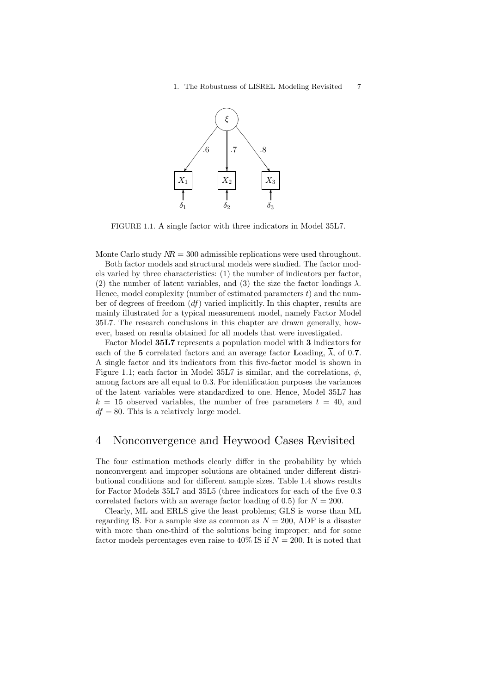

FIGURE 1.1. A single factor with three indicators in Model 35L7.

Monte Carlo study  $MR = 300$  admissible replications were used throughout.

Both factor models and structural models were studied. The factor models varied by three characteristics: (1) the number of indicators per factor, (2) the number of latent variables, and (3) the size the factor loadings  $\lambda$ . Hence, model complexity (number of estimated parameters  $t$ ) and the number of degrees of freedom  $(df)$  varied implicitly. In this chapter, results are mainly illustrated for a typical measurement model, namely Factor Model 35L7. The research conclusions in this chapter are drawn generally, however, based on results obtained for all models that were investigated.

Factor Model **35L7** represents a population model with **3** indicators for each of the 5 correlated factors and an average factor **L**oading,  $\overline{\lambda}$ , of 0.7. A single factor and its indicators from this five-factor model is shown in Figure 1.1; each factor in Model 35L7 is similar, and the correlations,  $\phi$ , among factors are all equal to 0.3. For identification purposes the variances of the latent variables were standardized to one. Hence, Model 35L7 has  $k = 15$  observed variables, the number of free parameters  $t = 40$ , and  $df = 80$ . This is a relatively large model.

# 4 Nonconvergence and Heywood Cases Revisited

The four estimation methods clearly differ in the probability by which nonconvergent and improper solutions are obtained under different distributional conditions and for different sample sizes. Table 1.4 shows results for Factor Models 35L7 and 35L5 (three indicators for each of the five 0.3 correlated factors with an average factor loading of 0.5) for  $N = 200$ .

Clearly, ML and ERLS give the least problems; GLS is worse than ML regarding IS. For a sample size as common as  $N = 200$ , ADF is a disaster with more than one-third of the solutions being improper; and for some factor models percentages even raise to 40% IS if  $N = 200$ . It is noted that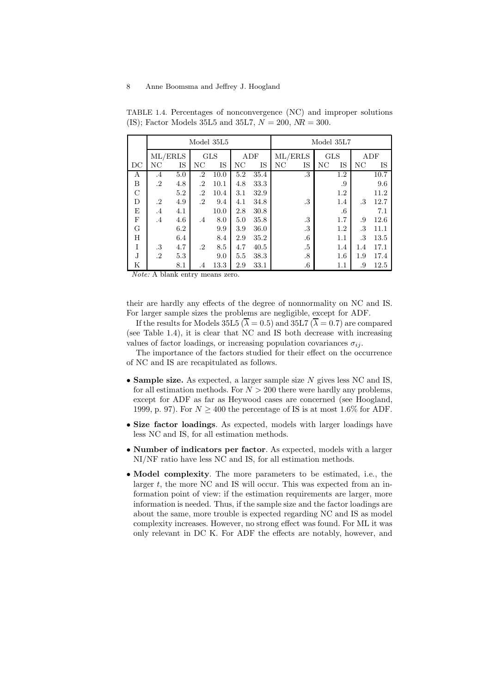|          |           |     |           | Model 35L5 |     |      |         |        | Model 35L7 |        |     |      |
|----------|-----------|-----|-----------|------------|-----|------|---------|--------|------------|--------|-----|------|
|          | ML/ERLS   |     |           | <b>GLS</b> |     | ADF  | ML/ERLS |        | <b>GLS</b> |        | ADF |      |
| DC       | NC        | IS  | NC        | IS         | NC  | IS   | NC      | IS     | NC         | IS     | NC  | IS   |
| А        | $.4\,$    | 5.0 | .2        | 10.0       | 5.2 | 35.4 |         | .3     |            | 1.2    |     | 10.7 |
| B        | $\cdot$   | 4.8 | .2        | 10.1       | 4.8 | 33.3 |         |        |            | .9     |     | 9.6  |
| $\rm _C$ |           | 5.2 | .2        | 10.4       | 3.1 | 32.9 |         |        |            | 1.2    |     | 11.2 |
| D        | .2        | 4.9 | $\cdot^2$ | 9.4        | 4.1 | 34.8 |         | .3     |            | 1.4    | .3  | 12.7 |
| Ε        | $\cdot$ 4 | 4.1 |           | 10.0       | 2.8 | 30.8 |         |        |            | $.6\,$ |     | 7.1  |
| F        | $.4\,$    | 4.6 | $.4\,$    | 8.0        | 5.0 | 35.8 |         | .3     |            | 1.7    | .9  | 12.6 |
| G        |           | 6.2 |           | 9.9        | 3.9 | 36.0 |         | .3     |            | 1.2    | .3  | 11.1 |
| H        |           | 6.4 |           | 8.4        | 2.9 | 35.2 |         | $.6\,$ |            | 1.1    | .3  | 13.5 |
| I        | .3        | 4.7 | .2        | 8.5        | 4.7 | 40.5 |         | $.5\,$ |            | 1.4    | 1.4 | 17.1 |
| J.       | .2        | 5.3 |           | 9.0        | 5.5 | 38.3 |         | .8     |            | 1.6    | 1.9 | 17.4 |
| Κ        |           | 8.1 | .4        | 13.3       | 2.9 | 33.1 |         | $.6\,$ |            | 1.1    | .9  | 12.5 |

TABLE 1.4. Percentages of nonconvergence (NC) and improper solutions (IS); Factor Models 35L5 and 35L7,  $N = 200$ ,  $NR = 300$ .

*Note:* A blank entry means zero.

their are hardly any effects of the degree of nonnormality on NC and IS. For larger sample sizes the problems are negligible, except for ADF.

If the results for Models 35L5 ( $\overline{\lambda} = 0.5$ ) and 35L7 ( $\overline{\lambda} = 0.7$ ) are compared (see Table 1.4), it is clear that NC and IS both decrease with increasing values of factor loadings, or increasing population covariances  $\sigma_{ii}$ .

The importance of the factors studied for their effect on the occurrence of NC and IS are recapitulated as follows.

- **Sample size.** As expected, a larger sample size <sup>N</sup> gives less NC and IS, for all estimation methods. For  $N > 200$  there were hardly any problems, except for ADF as far as Heywood cases are concerned (see Hoogland, 1999, p. 97). For  $N \geq 400$  the percentage of IS is at most 1.6% for ADF.
- **Size factor loadings**. As expected, models with larger loadings have less NC and IS, for all estimation methods.
- **Number of indicators per factor**. As expected, models with a larger NI/NF ratio have less NC and IS, for all estimation methods.
- **Model complexity**. The more parameters to be estimated, i.e., the larger  $t$ , the more NC and IS will occur. This was expected from an information point of view: if the estimation requirements are larger, more information is needed. Thus, if the sample size and the factor loadings are about the same, more trouble is expected regarding NC and IS as model complexity increases. However, no strong effect was found. For ML it was only relevant in DC K. For ADF the effects are notably, however, and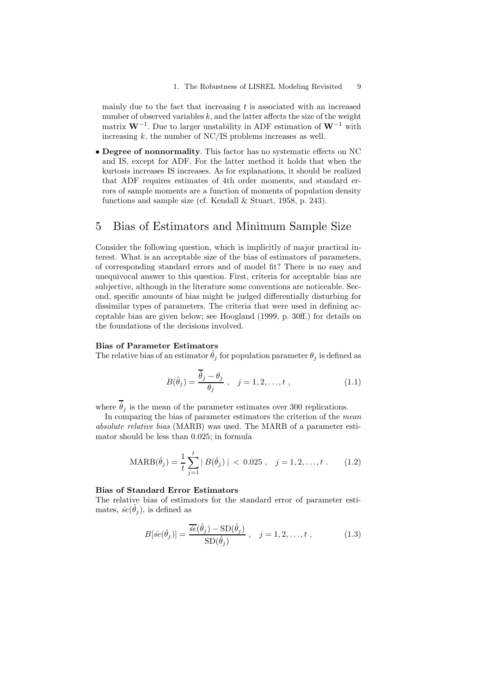mainly due to the fact that increasing  $t$  is associated with an increased number of observed variables  $k$ , and the latter affects the size of the weight matrix **W**−1. Due to larger unstability in ADF estimation of **W**−<sup>1</sup> with increasing  $k$ , the number of NC/IS problems increases as well.

• **Degree of nonnormality**. This factor has no systematic effects on NC and IS, except for ADF. For the latter method it holds that when the kurtosis increases IS increases. As for explanations, it should be realized that ADF requires estimates of 4th order moments, and standard errors of sample moments are a function of moments of population density functions and sample size (cf. Kendall & Stuart, 1958, p. 243).

# 5 Bias of Estimators and Minimum Sample Size

Consider the following question, which is implicitly of major practical interest. What is an acceptable size of the bias of estimators of parameters, of corresponding standard errors and of model fit? There is no easy and unequivocal answer to this question. First, criteria for acceptable bias are subjective, although in the literature some conventions are noticeable. Second, specific amounts of bias might be judged differentially disturbing for dissimilar types of parameters. The criteria that were used in defining acceptable bias are given below; see Hoogland (1999, p. 30ff.) for details on the foundations of the decisions involved.

#### **Bias of Parameter Estimators**

The relative bias of an estimator  $\hat{\theta}_j$  for population parameter  $\theta_j$  is defined as

$$
B(\hat{\theta}_j) = \frac{\overline{\hat{\theta}_j - \theta_j}}{\theta_j}, \quad j = 1, 2, \dots, t , \qquad (1.1)
$$

where  $\overline{\hat{\theta}}_j$  is the mean of the parameter estimates over 300 replications.

In comparing the bias of parameter estimators the criterion of the *mean absolute relative bias* (MARB) was used. The MARB of a parameter estimator should be less than 0.025; in formula

$$
\text{MARB}(\hat{\theta}_j) = \frac{1}{t} \sum_{j=1}^t |B(\hat{\theta}_j)| < 0.025, \quad j = 1, 2, \dots, t \tag{1.2}
$$

#### **Bias of Standard Error Estimators**

The relative bias of estimators for the standard error of parameter estimates,  $\hat{se}(\hat{\theta}_i)$ , is defined as

$$
B[\hat{se}(\hat{\theta}_j)] = \frac{\overline{\hat{se}}(\hat{\theta}_j) - SD(\hat{\theta}_j)}{SD(\hat{\theta}_j)}, \quad j = 1, 2, \dots, t ,
$$
 (1.3)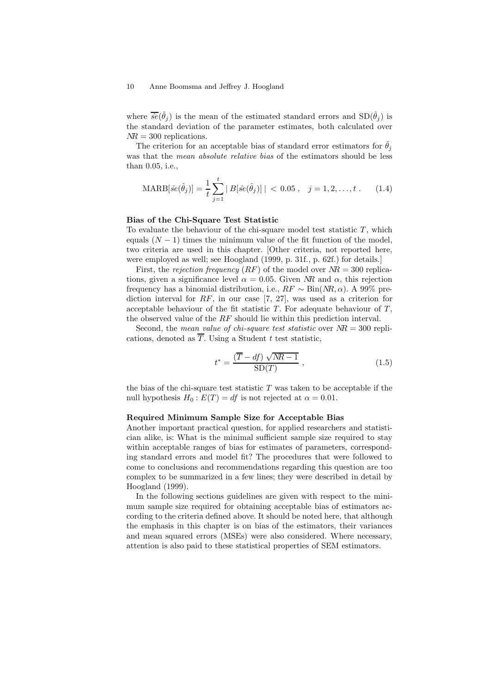where  $\overline{\hat{se}}(\hat{\theta}_j)$  is the mean of the estimated standard errors and  $SD(\hat{\theta}_j)$  is the standard deviation of the parameter estimates, both calculated over  $NR = 300$  replications.

The criterion for an acceptable bias of standard error estimators for  $\hat{\theta}_j$ was that the *mean absolute relative bias* of the estimators should be less than 0.05, i.e.,

$$
\text{MARB}[\hat{se}(\hat{\theta}_j)] = \frac{1}{t} \sum_{j=1}^t |B[\hat{se}(\hat{\theta}_j)]| < 0.05 \,, \quad j = 1, 2, \dots, t \,. \tag{1.4}
$$

#### **Bias of the Chi-Square Test Statistic**

To evaluate the behaviour of the chi-square model test statistic  $T$ , which equals  $(N-1)$  times the minimum value of the fit function of the model, two criteria are used in this chapter. [Other criteria, not reported here, were employed as well; see Hoogland (1999, p. 31f., p. 62f.) for details.]

First, the *rejection frequency*  $(RF)$  of the model over  $NR = 300$  replications, given a significance level  $\alpha = 0.05$ . Given NR and  $\alpha$ , this rejection frequency has a binomial distribution, i.e.,  $RF \sim Bin(NR, \alpha)$ . A 99% prediction interval for  $RF$ , in our case [7, 27], was used as a criterion for acceptable behaviour of the fit statistic  $T$ . For adequate behaviour of  $T$ , the observed value of the RF should lie within this prediction interval.

Second, the *mean value of chi-square test statistic* over NR = 300 replications, denoted as  $\overline{T}$ . Using a Student t test statistic,

$$
t^* = \frac{(\overline{T} - df) \sqrt{MR - 1}}{\text{SD}(T)},
$$
\n(1.5)

the bias of the chi-square test statistic  $T$  was taken to be acceptable if the null hypothesis  $H_0 : E(T) = df$  is not rejected at  $\alpha = 0.01$ .

#### **Required Minimum Sample Size for Acceptable Bias**

Another important practical question, for applied researchers and statistician alike, is: What is the minimal sufficient sample size required to stay within acceptable ranges of bias for estimates of parameters, corresponding standard errors and model fit? The procedures that were followed to come to conclusions and recommendations regarding this question are too complex to be summarized in a few lines; they were described in detail by Hoogland (1999).

In the following sections guidelines are given with respect to the minimum sample size required for obtaining acceptable bias of estimators according to the criteria defined above. It should be noted here, that although the emphasis in this chapter is on bias of the estimators, their variances and mean squared errors (MSEs) were also considered. Where necessary, attention is also paid to these statistical properties of SEM estimators.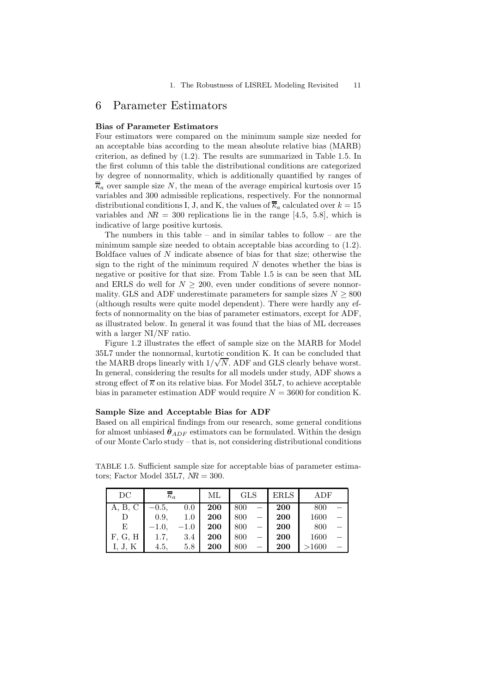# 6 Parameter Estimators

#### **Bias of Parameter Estimators**

Four estimators were compared on the minimum sample size needed for an acceptable bias according to the mean absolute relative bias (MARB) criterion, as defined by (1.2). The results are summarized in Table 1.5. In the first column of this table the distributional conditions are categorized by degree of nonnormality, which is additionally quantified by ranges of  $\overline{k}_a$  over sample size N, the mean of the average empirical kurtosis over 15 variables and 300 admissible replications, respectively. For the nonnormal distributional conditions I, J, and K, the values of  $\overline{k}_a$  calculated over  $k = 15$ variables and  $\overline{MR} = 300$  replications lie in the range [4.5, 5.8], which is indicative of large positive kurtosis.

The numbers in this table – and in similar tables to follow – are the minimum sample size needed to obtain acceptable bias according to (1.2). Boldface values of N indicate absence of bias for that size; otherwise the sign to the right of the minimum required  $N$  denotes whether the bias is negative or positive for that size. From Table 1.5 is can be seen that ML and ERLS do well for  $N \geq 200$ , even under conditions of severe nonnormality. GLS and ADF underestimate parameters for sample sizes  $N \geq 800$ (although results were quite model dependent). There were hardly any effects of nonnormality on the bias of parameter estimators, except for ADF, as illustrated below. In general it was found that the bias of ML decreases with a larger NI/NF ratio.

Figure 1.2 illustrates the effect of sample size on the MARB for Model 35L7 under the nonnormal, kurtotic condition K. It can be concluded that the MARB drops linearly with  $1/\sqrt{N}$ . ADF and GLS clearly behave worst. In general, considering the results for all models under study, ADF shows a strong effect of  $\overline{\kappa}$  on its relative bias. For Model 35L7, to achieve acceptable bias in parameter estimation ADF would require  $N = 3600$  for condition K.

#### **Sample Size and Acceptable Bias for ADF**

Based on all empirical findings from our research, some general conditions for almost unbiased  $\hat{\theta}_{ADE}$  estimators can be formulated. Within the design of our Monte Carlo study – that is, not considering distributional conditions

TABLE 1.5. Sufficient sample size for acceptable bias of parameter estimators; Factor Model 35L7,  $NR = 300$ .

| DC      | $\overline{\kappa}_a$ |        | МL         | <b>GLS</b> | <b>ERLS</b> | ADF   |  |
|---------|-----------------------|--------|------------|------------|-------------|-------|--|
| A, B, C | $-0.5,$               | 0.0    | 200        | 800        | 200         | 800   |  |
| D       | 0.9,                  | 1.0    | <b>200</b> | 800        | <b>200</b>  | 1600  |  |
| Ε       | $-1.0,$               | $-1.0$ | <b>200</b> | 800        | <b>200</b>  | 800   |  |
| F, G, H | 1.7,                  | 3.4    | 200        | 800        | <b>200</b>  | 1600  |  |
| I, J, K | 4.5,                  | 5.8    | 200        | 800        | <b>200</b>  | >1600 |  |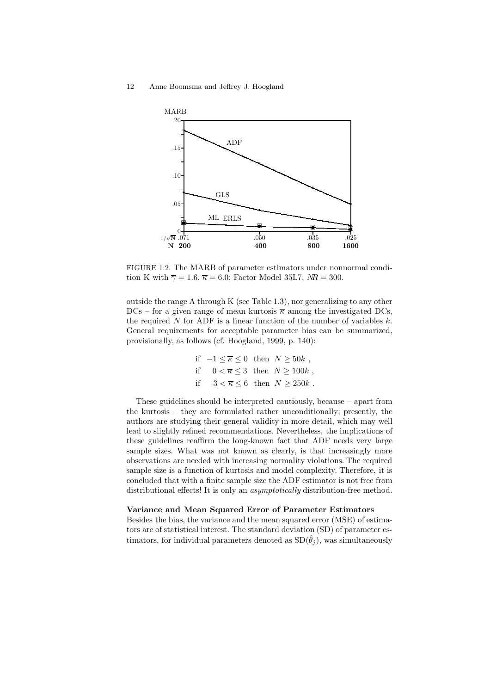

FIGURE 1.2. The MARB of parameter estimators under nonnormal condition K with  $\overline{\gamma} = 1.6$ ,  $\overline{\kappa} = 6.0$ ; Factor Model 35L7,  $NR = 300$ .

outside the range A through K (see Table 1.3), nor generalizing to any other  $DCs$  – for a given range of mean kurtosis  $\overline{\kappa}$  among the investigated DCs, the required N for ADF is a linear function of the number of variables  $k$ . General requirements for acceptable parameter bias can be summarized, provisionally, as follows (cf. Hoogland, 1999, p. 140):

$$
\begin{aligned} \text{if} \quad -1 \leq \overline{\kappa} \leq 0 \quad \text{then} \quad N \geq 50k \ , \\ \text{if} \quad & 0 < \overline{\kappa} \leq 3 \quad \text{then} \quad N \geq 100k \ , \\ \text{if} \quad & 3 < \overline{\kappa} \leq 6 \quad \text{then} \quad N \geq 250k \ . \end{aligned}
$$

These guidelines should be interpreted cautiously, because – apart from the kurtosis – they are formulated rather unconditionally; presently, the authors are studying their general validity in more detail, which may well lead to slightly refined recommendations. Nevertheless, the implications of these guidelines reaffirm the long-known fact that ADF needs very large sample sizes. What was not known as clearly, is that increasingly more observations are needed with increasing normality violations. The required sample size is a function of kurtosis and model complexity. Therefore, it is concluded that with a finite sample size the ADF estimator is not free from distributional effects! It is only an *asymptotically* distribution-free method.

#### **Variance and Mean Squared Error of Parameter Estimators**

Besides the bias, the variance and the mean squared error (MSE) of estimators are of statistical interest. The standard deviation (SD) of parameter estimators, for individual parameters denoted as  $SD(\hat{\theta}_i)$ , was simultaneously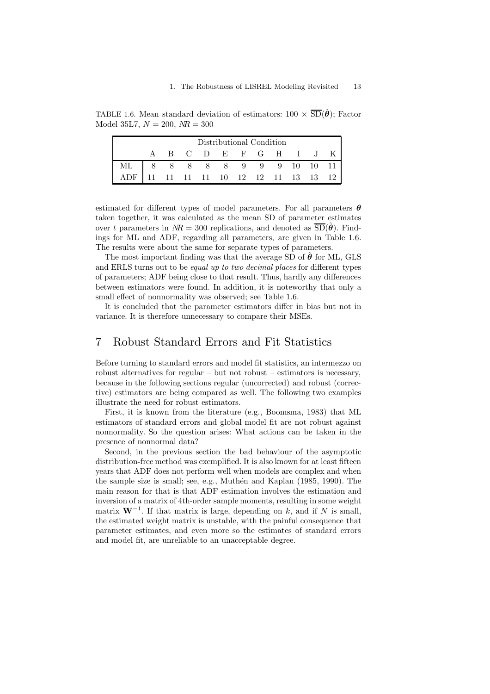TABLE 1.6. Mean standard deviation of estimators:  $100 \times \overline{SD}(\hat{\theta})$ ; Factor Model 35L7,  $N = 200$ ,  $MR = 300$ 

| Distributional Condition                                                                                                                                                                   |  |  |  |  |  |  |  |  |                       |  |  |
|--------------------------------------------------------------------------------------------------------------------------------------------------------------------------------------------|--|--|--|--|--|--|--|--|-----------------------|--|--|
|                                                                                                                                                                                            |  |  |  |  |  |  |  |  | A B C D E F G H I J K |  |  |
|                                                                                                                                                                                            |  |  |  |  |  |  |  |  |                       |  |  |
| $\begin{tabular}{ c cccccccc } \hline \text{ML} & 8 & 8 & 8 & 8 & 8 & 9 & 9 & 9 & 10 & 10 & 11\\ \text{ADF} & 11 & 11 & 11 & 11 & 10 & 12 & 12 & 11 & 13 & 13 & 12 \\\hline \end{tabular}$ |  |  |  |  |  |  |  |  |                       |  |  |

estimated for different types of model parameters. For all parameters *θ* taken together, it was calculated as the mean SD of parameter estimates over t parameters in  $MR = 300$  replications, and denoted as  $\overline{SD}(\hat{\theta})$ . Findings for ML and ADF, regarding all parameters, are given in Table 1.6. The results were about the same for separate types of parameters.

The most important finding was that the average SD of  $\hat{\theta}$  for ML, GLS and ERLS turns out to be *equal up to two decimal places* for different types of parameters; ADF being close to that result. Thus, hardly any differences between estimators were found. In addition, it is noteworthy that only a small effect of nonnormality was observed; see Table 1.6.

It is concluded that the parameter estimators differ in bias but not in variance. It is therefore unnecessary to compare their MSEs.

# 7 Robust Standard Errors and Fit Statistics

Before turning to standard errors and model fit statistics, an intermezzo on robust alternatives for regular – but not robust – estimators is necessary, because in the following sections regular (uncorrected) and robust (corrective) estimators are being compared as well. The following two examples illustrate the need for robust estimators.

First, it is known from the literature (e.g., Boomsma, 1983) that ML estimators of standard errors and global model fit are not robust against nonnormality. So the question arises: What actions can be taken in the presence of nonnormal data?

Second, in the previous section the bad behaviour of the asymptotic distribution-free method was exemplified. It is also known for at least fifteen years that ADF does not perform well when models are complex and when the sample size is small; see, e.g., Muthén and Kaplan (1985, 1990). The main reason for that is that ADF estimation involves the estimation and inversion of a matrix of 4th-order sample moments, resulting in some weight matrix  $W^{-1}$ . If that matrix is large, depending on k, and if N is small, the estimated weight matrix is unstable, with the painful consequence that parameter estimates, and even more so the estimates of standard errors and model fit, are unreliable to an unacceptable degree.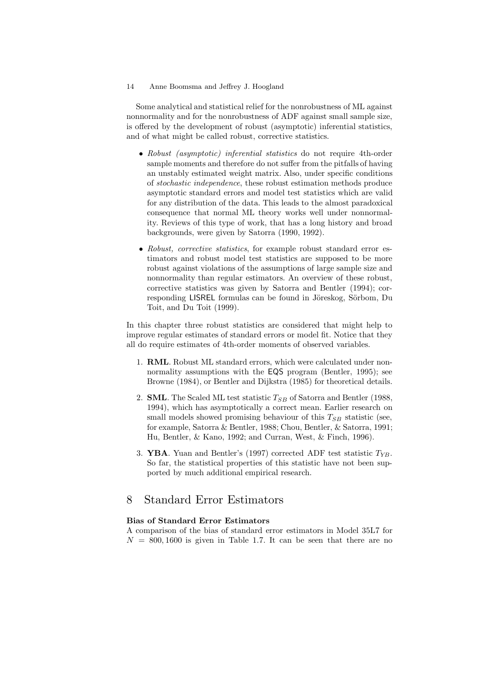Some analytical and statistical relief for the nonrobustness of ML against nonnormality and for the nonrobustness of ADF against small sample size, is offered by the development of robust (asymptotic) inferential statistics, and of what might be called robust, corrective statistics.

- *Robust (asymptotic) inferential statistics* do not require 4th-order sample moments and therefore do not suffer from the pitfalls of having an unstably estimated weight matrix. Also, under specific conditions of *stochastic independence*, these robust estimation methods produce asymptotic standard errors and model test statistics which are valid for any distribution of the data. This leads to the almost paradoxical consequence that normal ML theory works well under nonnormality. Reviews of this type of work, that has a long history and broad backgrounds, were given by Satorra (1990, 1992).
- *Robust, corrective statistics*, for example robust standard error estimators and robust model test statistics are supposed to be more robust against violations of the assumptions of large sample size and nonnormality than regular estimators. An overview of these robust, corrective statistics was given by Satorra and Bentler (1994); corresponding LISREL formulas can be found in Jöreskog, Sörbom, Du Toit, and Du Toit (1999).

In this chapter three robust statistics are considered that might help to improve regular estimates of standard errors or model fit. Notice that they all do require estimates of 4th-order moments of observed variables.

- 1. **RML**. Robust ML standard errors, which were calculated under nonnormality assumptions with the **EQS** program (Bentler, 1995); see Browne (1984), or Bentler and Dijkstra (1985) for theoretical details.
- 2. **SML**. The Scaled ML test statistic T*SB* of Satorra and Bentler (1988, 1994), which has asymptotically a correct mean. Earlier research on small models showed promising behaviour of this  $T_{SB}$  statistic (see, for example, Satorra & Bentler, 1988; Chou, Bentler, & Satorra, 1991; Hu, Bentler, & Kano, 1992; and Curran, West, & Finch, 1996).
- 3. **YBA**. Yuan and Bentler's (1997) corrected ADF test statistic T*YB*. So far, the statistical properties of this statistic have not been supported by much additional empirical research.

# 8 Standard Error Estimators

#### **Bias of Standard Error Estimators**

A comparison of the bias of standard error estimators in Model 35L7 for  $N = 800, 1600$  is given in Table 1.7. It can be seen that there are no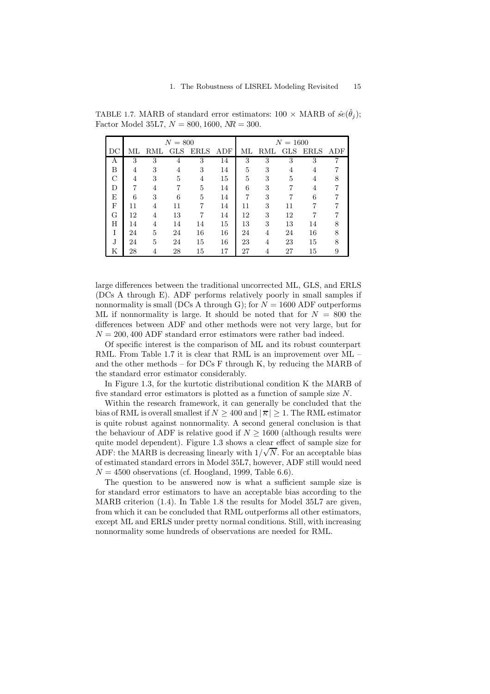|    |    |     | $N = 800$  |             |     |    |     | $N = 1600$ |             |     |
|----|----|-----|------------|-------------|-----|----|-----|------------|-------------|-----|
| DC | МL | RML | <b>GLS</b> | <b>ERLS</b> | ADF | МL | RML | <b>GLS</b> | <b>ERLS</b> | ADF |
| А  | 3  | 3   | 4          | 3           | 14  | 3  | 3   | 3          | 3           |     |
| B  | 4  | 3   | 4          | 3           | 14  | 5  | 3   | 4          | 4           |     |
| C  | 4  | 3   | 5          | 4           | 15  | 5  | 3   | 5          | 4           |     |
| D  | 7  | 4   | 7          | 5           | 14  | 6  | 3   |            | 4           |     |
| E  | 6  | 3   | 6          | 5           | 14  | 7  | 3   |            | 6           |     |
| F  | 11 | 4   | 11         | 7           | 14  | 11 | 3   | 11         | 7           |     |
| G  | 12 | 4   | 13         | 7           | 14  | 12 | 3   | 12         | 7           |     |
| H  | 14 | 4   | 14         | 14          | 15  | 13 | 3   | 13         | 14          |     |
|    | 24 | 5   | 24         | 16          | 16  | 24 | 4   | 24         | 16          | 8   |
| J  | 24 | 5   | 24         | 15          | 16  | 23 | 4   | 23         | 15          | 8   |
| Κ  | 28 | 4   | 28         | 15          | 17  | 27 | 4   | 27         | 15          | 9   |

TABLE 1.7. MARB of standard error estimators:  $100 \times \text{MARB}$  of  $\hat{se}(\hat{\theta}_i)$ ; Factor Model 35L7,  $N = 800, 1600, NR = 300$ .

large differences between the traditional uncorrected ML, GLS, and ERLS (DCs A through E). ADF performs relatively poorly in small samples if nonnormality is small (DCs A through G); for  $N = 1600$  ADF outperforms ML if nonnormality is large. It should be noted that for  $N = 800$  the differences between ADF and other methods were not very large, but for  $N = 200, 400$  ADF standard error estimators were rather bad indeed.

Of specific interest is the comparison of ML and its robust counterpart RML. From Table 1.7 it is clear that RML is an improvement over ML – and the other methods – for DCs F through K, by reducing the MARB of the standard error estimator considerably.

In Figure 1.3, for the kurtotic distributional condition K the MARB of five standard error estimators is plotted as a function of sample size N.

Within the research framework, it can generally be concluded that the bias of RML is overall smallest if  $N \geq 400$  and  $|\overline{\kappa}| \geq 1$ . The RML estimator is quite robust against nonnormality. A second general conclusion is that the behaviour of ADF is relative good if  $N \geq 1600$  (although results were quite model dependent). Figure 1.3 shows a clear effect of sample size for ADF: the MARB is decreasing linearly with  $1/\sqrt{N}$ . For an acceptable bias of estimated standard errors in Model 35L7, however, ADF still would need  $N = 4500$  observations (cf. Hoogland, 1999, Table 6.6).

The question to be answered now is what a sufficient sample size is for standard error estimators to have an acceptable bias according to the MARB criterion (1.4). In Table 1.8 the results for Model 35L7 are given, from which it can be concluded that RML outperforms all other estimators, except ML and ERLS under pretty normal conditions. Still, with increasing nonnormality some hundreds of observations are needed for RML.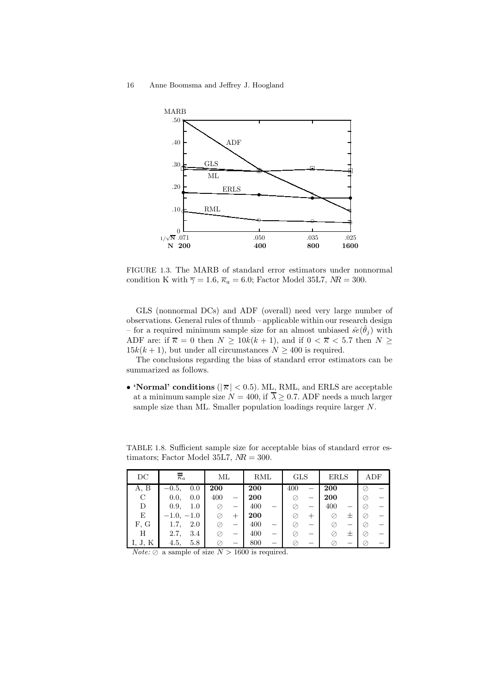

FIGURE 1.3. The MARB of standard error estimators under nonnormal condition K with  $\overline{\gamma} = 1.6$ ,  $\overline{\kappa}_a = 6.0$ ; Factor Model 35L7,  $NR = 300$ .

GLS (nonnormal DCs) and ADF (overall) need very large number of observations. General rules of thumb – applicable within our research design – for a required minimum sample size for an almost unbiased  $\hat{se}(\hat{\theta}_i)$  with ADF are: if  $\overline{\kappa} = 0$  then  $N \ge 10k(k+1)$ , and if  $0 < \overline{\kappa} < 5.7$  then  $N \ge 10$  $15k(k+1)$ , but under all circumstances  $N \geq 400$  is required.

The conclusions regarding the bias of standard error estimators can be summarized as follows.

• **'Normal' conditions** ( $|\overline{\kappa}| < 0.5$ ). ML, RML, and ERLS are acceptable at a minimum sample size  $N = 400$ , if  $\overline{\lambda} \geq 0.7$ . ADF needs a much larger sample size than ML. Smaller population loadings require larger N.

TABLE 1.8. Sufficient sample size for acceptable bias of standard error estimators; Factor Model 35L7,  $NR = 300$ .

| $_{\rm DC}$ | $\overline{\kappa}_a$ | МL  |      | RML        |                          | <b>GLS</b> |      | <b>ERLS</b> |      | ADF |  |
|-------------|-----------------------|-----|------|------------|--------------------------|------------|------|-------------|------|-----|--|
| A, B        | 0.0<br>$-0.5,$        | 200 |      | <b>200</b> |                          | 400        |      | 200         |      | Ø   |  |
| C           | 0.0,<br>0.0           | 400 |      | 200        |                          |            |      | 200         |      | Ø   |  |
| D           | 0.9,<br>1.0           | ⊘   |      | 400        | $\overline{\phantom{0}}$ | ⊘          |      | 400         |      | ⊘   |  |
| Е           | $-1.0, -1.0$          |     | $^+$ | 200        |                          | ⊘          | $^+$ |             | 士    | ⊘   |  |
| F, G        | 2.0<br>1.7.           |     |      | 400        | -                        | ⊘          |      |             |      | Ø,  |  |
| Η           | 2.7,<br>3.4           |     |      | 400        | -                        | ⊘          |      |             | $^+$ | ⊘   |  |
| ., J. К     | 4.5,<br>5.8           |     |      | 800        |                          | Ø          |      |             |      | Ø   |  |

*Note:*  $\oslash$  a sample of size  $N > 1600$  is required.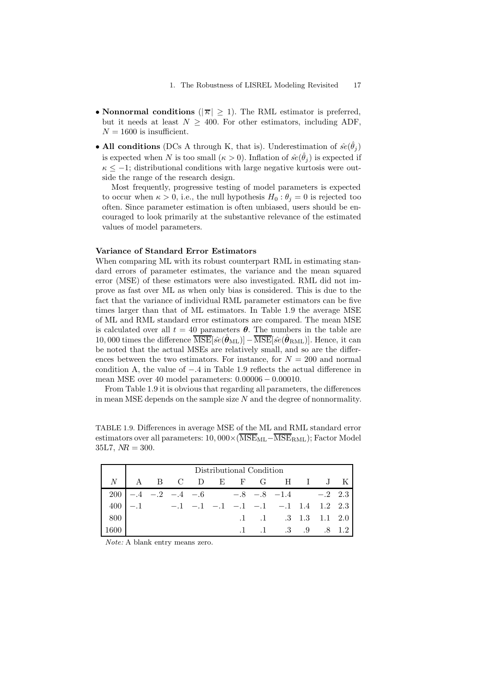- **Nonnormal conditions** ( $|\overline{\kappa}| \geq 1$ ). The RML estimator is preferred, but it needs at least  $N > 400$ . For other estimators, including ADF,  $N = 1600$  is insufficient.
- All conditions (DCs A through K, that is). Underestimation of  $\hat{se}(\theta_j)$ is expected when N is too small  $(\kappa > 0)$ . Inflation of  $\hat{se}(\hat{\theta}_i)$  is expected if  $\kappa \leq -1$ ; distributional conditions with large negative kurtosis were outside the range of the research design.

Most frequently, progressive testing of model parameters is expected to occur when  $\kappa > 0$ , i.e., the null hypothesis  $H_0: \theta_i = 0$  is rejected too often. Since parameter estimation is often unbiased, users should be encouraged to look primarily at the substantive relevance of the estimated values of model parameters.

#### **Variance of Standard Error Estimators**

When comparing ML with its robust counterpart RML in estimating standard errors of parameter estimates, the variance and the mean squared error (MSE) of these estimators were also investigated. RML did not improve as fast over ML as when only bias is considered. This is due to the fact that the variance of individual RML parameter estimators can be five times larger than that of ML estimators. In Table 1.9 the average MSE of ML and RML standard error estimators are compared. The mean MSE is calculated over all  $t = 40$  parameters  $\theta$ . The numbers in the table are 10, 000 times the difference  $\overline{\text{MSE}}[\hat{se}(\hat{\theta}_{ML})]-\overline{\text{MSE}}[\hat{se}(\hat{\theta}_{RML})]$ . Hence, it can be noted that the actual MSEs are relatively small, and so are the differences between the two estimators. For instance, for  $N = 200$  and normal condition A, the value of <sup>−</sup>.4 in Table 1.9 reflects the actual difference in mean MSE over 40model parameters: 0.<sup>00006</sup> <sup>−</sup> <sup>0</sup>.00010.

From Table 1.9 it is obvious that regarding all parameters, the differences in mean MSE depends on the sample size  $N$  and the degree of nonnormality.

TABLE 1.9. Differences in average MSE of the ML and RML standard error estimators over all parameters:  $10,000\times(\overline{\text{MSE}}_{\text{ML}}-\overline{\text{MSE}}_{\text{RML}})$ ; Factor Model  $35L7, MR = 300.$ 

|                                                                                                 |  |  | Distributional Condition |  |                                            |  |  |
|-------------------------------------------------------------------------------------------------|--|--|--------------------------|--|--------------------------------------------|--|--|
|                                                                                                 |  |  |                          |  | $N$   A B C D E F G H I J K                |  |  |
|                                                                                                 |  |  |                          |  | $200$ -.4 -.2 -.4 -.6 -.8 -.8 -1.4 -.2 2.3 |  |  |
| $\begin{vmatrix} 400 & -0.1 & -0.1 & -0.1 & -0.1 & -0.1 & -0.1 & 1.4 & 1.2 & 2.3 \end{vmatrix}$ |  |  |                          |  |                                            |  |  |
| $\begin{array}{c} \n \text{800} \\ \end{array}$                                                 |  |  |                          |  | $.1 \t .1 \t .3 \t 1.3 \t 1.1 \t 2.0$      |  |  |
| -1600                                                                                           |  |  |                          |  | $\therefore$ 1 .1 .3 .9 .8 1.2             |  |  |

*Note:* A blank entry means zero.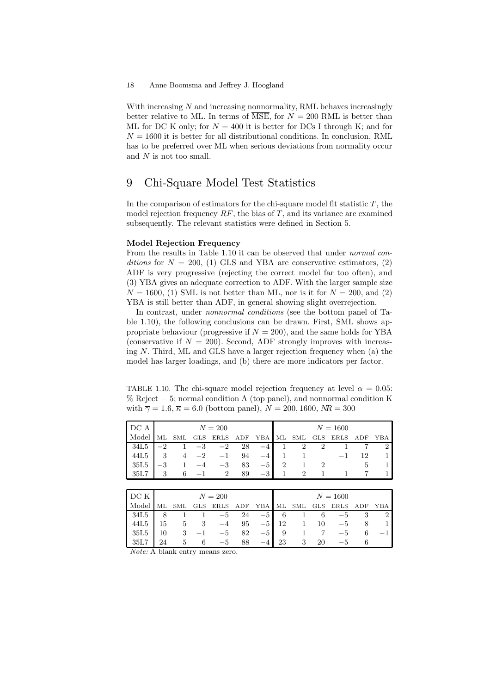With increasing  $N$  and increasing nonnormality, RML behaves increasingly better relative to ML. In terms of  $\overline{\text{MSE}}$ , for  $N = 200$  RML is better than ML for DC K only; for  $N = 400$  it is better for DCs I through K; and for  $N = 1600$  it is better for all distributional conditions. In conclusion, RML has to be preferred over ML when serious deviations from normality occur and N is not too small.

# 9 Chi-Square Model Test Statistics

In the comparison of estimators for the chi-square model fit statistic  $T$ , the model rejection frequency  $RF$ , the bias of T, and its variance are examined subsequently. The relevant statistics were defined in Section 5.

#### **Model Rejection Frequency**

From the results in Table 1.10 it can be observed that under *normal conditions* for  $N = 200$ , (1) GLS and YBA are conservative estimators, (2) ADF is very progressive (rejecting the correct model far too often), and (3) YBA gives an adequate correction to ADF. With the larger sample size  $N = 1600$ , (1) SML is not better than ML, nor is it for  $N = 200$ , and (2) YBA is still better than ADF, in general showing slight overrejection.

In contrast, under *nonnormal conditions* (see the bottom panel of Table 1.10), the following conclusions can be drawn. First, SML shows appropriate behaviour (progressive if  $N = 200$ ), and the same holds for YBA (conservative if  $N = 200$ ). Second, ADF strongly improves with increasing  $N$ . Third, ML and GLS have a larger rejection frequency when  $(a)$  the model has larger loadings, and (b) there are more indicators per factor.

TABLE 1.10. The chi-square model rejection frequency at level  $\alpha = 0.05$ : % Reject  $-5$ ; normal condition A (top panel), and nonnormal condition K with  $\overline{\gamma} = 1.6$ ,  $\overline{\kappa} = 6.0$  (bottom panel),  $N = 200, 1600, NR = 300$ 

| DC A  |      |                |      | $N=200$       |             |      |                |               |               | $N = 1600$    |     |     |
|-------|------|----------------|------|---------------|-------------|------|----------------|---------------|---------------|---------------|-----|-----|
| Model |      | SML            |      | GLS ERLS      | ${\rm ADF}$ | YBA  |                | ML SML        | GLS           | $_{\rm ERLS}$ | ADF | YBA |
| 34L5  | $-2$ |                | $-3$ | $-2$          | 28          | $-4$ |                | $\mathcal{D}$ |               |               |     |     |
| 44L5  | -3   | $\overline{4}$ | $-2$ | $-1$          | 94          | $-4$ |                |               |               | $-1$          | 12  |     |
| 35L5  | $-3$ |                |      | $-3$          | 83          | $-5$ | $\overline{2}$ |               | $\mathcal{D}$ |               |     |     |
| 35L7  |      | 6              |      | $\mathcal{D}$ | 89          | $-3$ |                |               |               |               |     |     |

| DC K   |    |                    |    | $N=200$  |    |                |     |    | $N = 1600$       |   |  |
|--------|----|--------------------|----|----------|----|----------------|-----|----|------------------|---|--|
| Model  | ML | $\mathop{\rm SML}$ |    | GLS ERLS |    | ADF YBA ML SML |     |    | GLS ERLS ADF YBA |   |  |
| 34L5   |    |                    |    | $-5$     | 24 | $-5$           | 6   |    | -5               |   |  |
| 44L5   | 15 |                    | -3 | $-4$     | 95 | $-5$           | 12  | 10 | $-5$             |   |  |
| 35L5   | 10 | 3                  |    | $-5$     | 82 | $-5$ l         | - 9 |    | $-5$             | 6 |  |
| - 35L7 | 24 | 5                  |    | $-5$     | 88 | $-4$ .         | 23  | 20 | $-5$             |   |  |

*Note:* A blank entry means zero.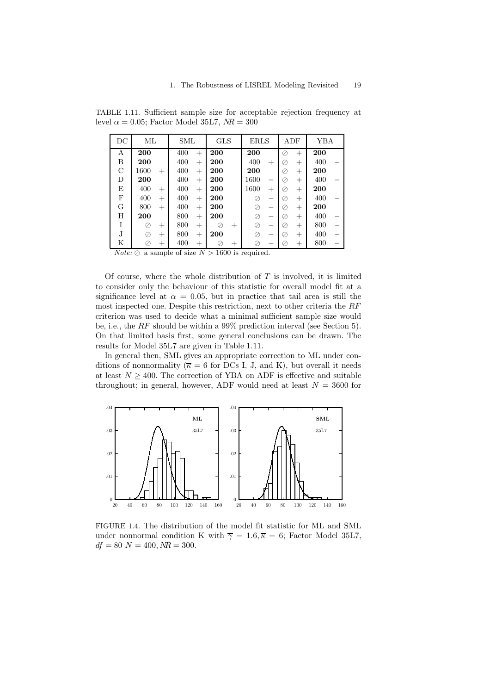| DC | ML             | SML           | <b>GLS</b> | <b>ERLS</b>    | ADF                 | YBA |
|----|----------------|---------------|------------|----------------|---------------------|-----|
| А  | 200            | 400<br>$^{+}$ | 200        | 200            | $^{+}$<br>⊘         | 200 |
| В  | 200            | 400<br>$^+$   | 200        | 400<br>$^{+}$  | ⊘<br>$\overline{+}$ | 400 |
| C  | 1600<br>$^{+}$ | 400<br>$+$    | 200        | 200            | ⊘<br>$\overline{+}$ | 200 |
| D  | 200            | 400<br>$+$    | 200        | 1600           | Ø<br>$\overline{+}$ | 400 |
| E  | 400<br>$\pm$   | 400<br>$+$    | 200        | 1600<br>$^{+}$ | $\overline{+}$<br>⊘ | 200 |
| F  | 400<br>$\pm$   | 400<br>$^+$   | 200        |                | ⊘<br>$\overline{+}$ | 400 |
| G  | 800<br>$^{+}$  | 400<br>$^+$   | 200        |                | ⊘<br>$\overline{+}$ | 200 |
| Н  | 200            | 800<br>$+$    | 200        | ⊘              | ⊘<br>$\overline{+}$ | 400 |
| I  | Ø<br>$^+$      | 800<br>$^+$   | Ø<br>$^+$  | Ø              | $\overline{+}$<br>Ø | 800 |
| J  | ⊘<br>$^{+}$    | 800<br>$+$    | 200        |                | ⊘<br>$+$            | 400 |
| Κ  | $^{+}$         | 400<br>$+$    | $^+$       |                | $^+$                | 800 |

TABLE 1.11. Sufficient sample size for acceptable rejection frequency at level  $\alpha = 0.05$ ; Factor Model 35L7,  $NR = 300$ 

*Note:*  $\oslash$  a sample of size  $N > 1600$  is required.

Of course, where the whole distribution of  $T$  is involved, it is limited to consider only the behaviour of this statistic for overall model fit at a significance level at  $\alpha = 0.05$ , but in practice that tail area is still the most inspected one. Despite this restriction, next to other criteria the RF criterion was used to decide what a minimal sufficient sample size would be, i.e., the RF should be within a 99% prediction interval (see Section 5). On that limited basis first, some general conclusions can be drawn. The results for Model 35L7 are given in Table 1.11.

In general then, SML gives an appropriate correction to ML under conditions of nonnormality ( $\overline{\kappa} = 6$  for DCs I, J, and K), but overall it needs at least  $N \geq 400$ . The correction of YBA on ADF is effective and suitable throughout; in general, however, ADF would need at least  $N = 3600$  for



FIGURE 1.4. The distribution of the model fit statistic for ML and SML under nonnormal condition K with  $\overline{\gamma} = 1.6, \overline{\kappa} = 6$ ; Factor Model 35L7,  $df = 80 \text{ N} = 400, \text{ NR} = 300.$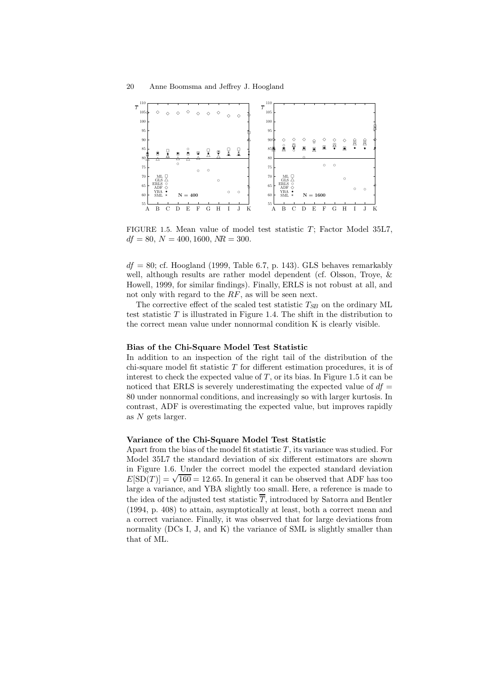

FIGURE 1.5. Mean value of model test statistic  $T$ ; Factor Model 35L7,  $df = 80, N = 400, 1600, NR = 300.$ 

 $df = 80$ ; cf. Hoogland (1999, Table 6.7, p. 143). GLS behaves remarkably well, although results are rather model dependent (cf. Olsson, Troye, & Howell, 1999, for similar findings). Finally, ERLS is not robust at all, and not only with regard to the RF, as will be seen next.

The corrective effect of the scaled test statistic  $T_{SB}$  on the ordinary ML test statistic  $T$  is illustrated in Figure 1.4. The shift in the distribution to the correct mean value under nonnormal condition K is clearly visible.

#### **Bias of the Chi-Square Model Test Statistic**

In addition to an inspection of the right tail of the distribution of the chi-square model fit statistic  $T$  for different estimation procedures, it is of interest to check the expected value of  $T$ , or its bias. In Figure 1.5 it can be noticed that ERLS is severely underestimating the expected value of  $df =$ 80under nonnormal conditions, and increasingly so with larger kurtosis. In contrast, ADF is overestimating the expected value, but improves rapidly as  $N$  gets larger.

#### **Variance of the Chi-Square Model Test Statistic**

Apart from the bias of the model fit statistic  $T$ , its variance was studied. For Model 35L7 the standard deviation of six different estimators are shown in Figure 1.6. Under the correct model the expected standard deviation  $E[\text{SD}(T)] = \sqrt{160} = 12.65$ . In general it can be observed that ADF has too large a variance, and YBA slightly too small. Here, a reference is made to the idea of the adjusted test statistic  $\overline{r}$ , introduced by Satorra and Bentler (1994, p. 408) to attain, asymptotically at least, both a correct mean and a correct variance. Finally, it was observed that for large deviations from normality (DCs I, J, and K) the variance of SML is slightly smaller than that of ML.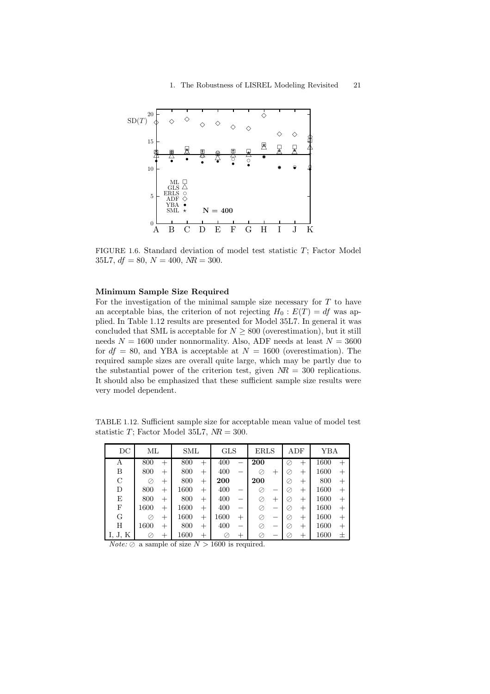

FIGURE 1.6. Standard deviation of model test statistic  $T$ ; Factor Model 35L7,  $df = 80$ ,  $N = 400$ ,  $MR = 300$ .

#### **Minimum Sample Size Required**

For the investigation of the minimal sample size necessary for  $T$  to have an acceptable bias, the criterion of not rejecting  $H_0 : E(T) = df$  was applied. In Table 1.12 results are presented for Model 35L7. In general it was concluded that SML is acceptable for  $N \geq 800$  (overestimation), but it still needs  $N = 1600$  under nonnormality. Also, ADF needs at least  $N = 3600$ for  $df = 80$ , and YBA is acceptable at  $N = 1600$  (overestimation). The required sample sizes are overall quite large, which may be partly due to the substantial power of the criterion test, given  $NR = 300$  replications. It should also be emphasized that these sufficient sample size results were very model dependent.

TABLE 1.12. Sufficient sample size for acceptable mean value of model test statistic T; Factor Model 35L7,  $NR = 300$ .

| DC            | ML   |                | SML  |                | <b>GLS</b> |       | <b>ERLS</b> |      | ADF |      | YBA  |        |
|---------------|------|----------------|------|----------------|------------|-------|-------------|------|-----|------|------|--------|
| А             | 800  | $^{+}$         | 800  | $^{+}$         | 400        | -     | 200         |      | Ø   | $^+$ | 1600 | $^{+}$ |
| В             | 800  | $^+$           | 800  | $\overline{+}$ | 400        |       | Ø           | $^+$ | Ø   | $^+$ | 1600 | $^{+}$ |
| $\mathcal{C}$ | Ø    | $^+$           | 800  | $\overline{+}$ | 200        |       | 200         |      | Ø,  | $^+$ | 800  | $^{+}$ |
| D             | 800  | $\overline{+}$ | 1600 | $\overline{+}$ | 400        | -     | Ø           |      | Ø   | $^+$ | 1600 | $^{+}$ |
| E             | 800  | $^+$           | 800  | $\overline{+}$ | 400        | -     | ⊘           | $^+$ | Ø   | $^+$ | 1600 | $^{+}$ |
| F             | 1600 | $^+$           | 1600 | $\overline{+}$ | 400        | -     | ⊘           |      | Ø   | $^+$ | 1600 | $^{+}$ |
| G             |      | $^+$           | 1600 | $^{+}$         | $1600\,$   | $\pm$ | Ø           | -    | Ø,  | $^+$ | 1600 | $^{+}$ |
| H             | 1600 | $^+$           | 800  | $\overline{+}$ | 400        | -     | ⊘           |      | Ø,  | $^+$ | 1600 | $^{+}$ |
| J, K          |      | $^+$           | 1600 | $^+$           |            | $\pm$ | ⊘           |      | V.  | $^+$ | 1600 | 土      |

*Note:*  $\oslash$  a sample of size  $N > 1600$  is required.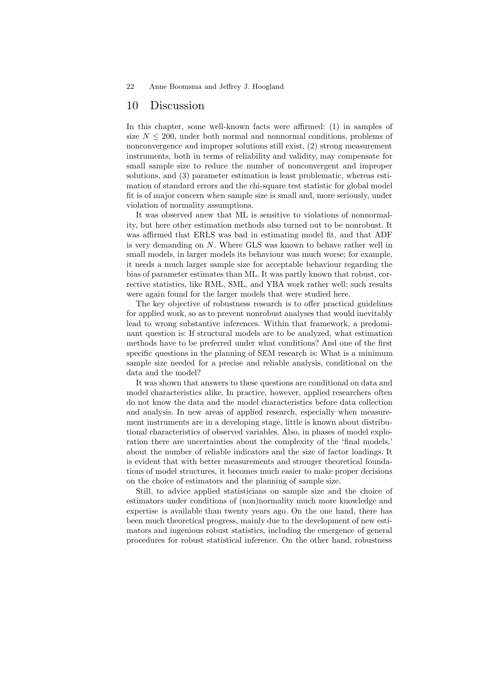### 10 Discussion

In this chapter, some well-known facts were affirmed: (1) in samples of size  $N \leq 200$ , under both normal and nonnormal conditions, problems of nonconvergence and improper solutions still exist, (2) strong measurement instruments, both in terms of reliability and validity, may compensate for small sample size to reduce the number of nonconvergent and improper solutions, and (3) parameter estimation is least problematic, whereas estimation of standard errors and the chi-square test statistic for global model fit is of major concern when sample size is small and, more seriously, under violation of normality assumptions.

It was observed anew that ML is sensitive to violations of nonnormality, but here other estimation methods also turned out to be nonrobust. It was affirmed that ERLS was bad in estimating model fit, and that ADF is very demanding on N. Where GLS was known to behave rather well in small models, in larger models its behaviour was much worse; for example, it needs a much larger sample size for acceptable behaviour regarding the bias of parameter estimates than ML. It was partly known that robust, corrective statistics, like RML, SML, and YBA work rather well; such results were again found for the larger models that were studied here.

The key objective of robustness research is to offer practical guidelines for applied work, so as to prevent nonrobust analyses that would inevitably lead to wrong substantive inferences. Within that framework, a predominant question is: If structural models are to be analyzed, what estimation methods have to be preferred under what conditions? And one of the first specific questions in the planning of SEM research is: What is a minimum sample size needed for a precise and reliable analysis, conditional on the data and the model?

It was shown that answers to these questions are conditional on data and model characteristics alike. In practice, however, applied researchers often do not know the data and the model characteristics before data collection and analysis. In new areas of applied research, especially when measurement instruments are in a developing stage, little is known about distributional characteristics of observed variables. Also, in phases of model exploration there are uncertainties about the complexity of the 'final models,' about the number of reliable indicators and the size of factor loadings. It is evident that with better measurements and stronger theoretical foundations of model structures, it becomes much easier to make proper decisions on the choice of estimators and the planning of sample size.

Still, to advice applied statisticians on sample size and the choice of estimators under conditions of (non)normality much more knowledge and expertise is available than twenty years ago. On the one hand, there has been much theoretical progress, mainly due to the development of new estimators and ingenious robust statistics, including the emergence of general procedures for robust statistical inference. On the other hand, robustness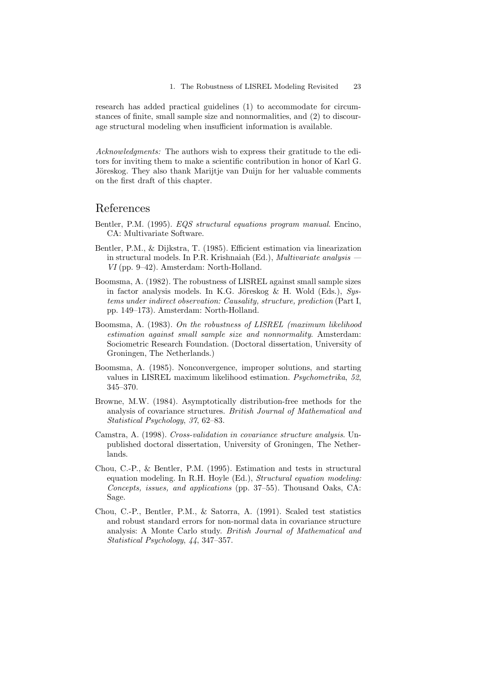research has added practical guidelines (1) to accommodate for circumstances of finite, small sample size and nonnormalities, and (2) to discourage structural modeling when insufficient information is available.

*Acknowledgments:* The authors wish to express their gratitude to the editors for inviting them to make a scientific contribution in honor of Karl G. Jöreskog. They also thank Marijtje van Duijn for her valuable comments on the first draft of this chapter.

# References

- Bentler, P.M. (1995). *EQS structural equations program manual*. Encino, CA: Multivariate Software.
- Bentler, P.M., & Dijkstra, T. (1985). Efficient estimation via linearization in structural models. In P.R. Krishnaiah (Ed.), *Multivariate analysis — VI* (pp. 9–42). Amsterdam: North-Holland.
- Boomsma, A. (1982). The robustness of LISREL against small sample sizes in factor analysis models. In K.G. Jöreskog & H. Wold (Eds.), *Systems under indirect observation: Causality, structure, prediction* (Part I, pp. 149–173). Amsterdam: North-Holland.
- Boomsma, A. (1983). *On the robustness of LISREL (maximum likelihood estimation against small sample size and nonnormality*. Amsterdam: Sociometric Research Foundation. (Doctoral dissertation, University of Groningen, The Netherlands.)
- Boomsma, A. (1985). Nonconvergence, improper solutions, and starting values in LISREL maximum likelihood estimation. *Psychometrika*, *52*, 345–370.
- Browne, M.W. (1984). Asymptotically distribution-free methods for the analysis of covariance structures. *British Journal of Mathematical and Statistical Psychology*, *37*, 62–83.
- Camstra, A. (1998). *Cross-validation in covariance structure analysis*. Unpublished doctoral dissertation, University of Groningen, The Netherlands.
- Chou, C.-P., & Bentler, P.M. (1995). Estimation and tests in structural equation modeling. In R.H. Hoyle (Ed.), *Structural equation modeling: Concepts, issues, and applications* (pp. 37–55). Thousand Oaks, CA: Sage.
- Chou, C.-P., Bentler, P.M., & Satorra, A. (1991). Scaled test statistics and robust standard errors for non-normal data in covariance structure analysis: A Monte Carlo study. *British Journal of Mathematical and Statistical Psychology*, *44*, 347–357.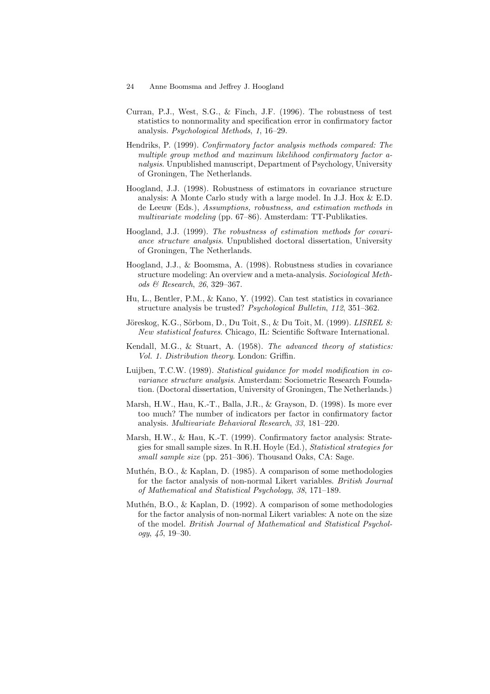- Curran, P.J., West, S.G., & Finch, J.F. (1996). The robustness of test statistics to nonnormality and specification error in confirmatory factor analysis. *Psychological Methods*, *1*, 16–29.
- Hendriks, P. (1999). *Confirmatory factor analysis methods compared: The multiple group method and maximum likelihood confirmatory factor analysis*. Unpublished manuscript, Department of Psychology, University of Groningen, The Netherlands.
- Hoogland, J.J. (1998). Robustness of estimators in covariance structure analysis: A Monte Carlo study with a large model. In J.J. Hox & E.D. de Leeuw (Eds.), *Assumptions, robustness, and estimation methods in multivariate modeling* (pp. 67–86). Amsterdam: TT-Publikaties.
- Hoogland, J.J. (1999). *The robustness of estimation methods for covariance structure analysis*. Unpublished doctoral dissertation, University of Groningen, The Netherlands.
- Hoogland, J.J., & Boomsma, A. (1998). Robustness studies in covariance structure modeling: An overview and a meta-analysis. *Sociological Methods & Research*, *26*, 329–367.
- Hu, L., Bentler, P.M., & Kano, Y. (1992). Can test statistics in covariance structure analysis be trusted? *Psychological Bulletin*, *112*, 351–362.
- Jöreskog, K.G., Sörbom, D., Du Toit, S., & Du Toit, M. (1999). *LISREL 8: New statistical features*. Chicago, IL: Scientific Software International.
- Kendall, M.G., & Stuart, A. (1958). *The advanced theory of statistics: Vol. 1. Distribution theory*. London: Griffin.
- Luijben, T.C.W. (1989). *Statistical guidance for model modification in covariance structure analysis*. Amsterdam: Sociometric Research Foundation. (Doctoral dissertation, University of Groningen, The Netherlands.)
- Marsh, H.W., Hau, K.-T., Balla, J.R., & Grayson, D. (1998). Is more ever too much? The number of indicators per factor in confirmatory factor analysis. *Multivariate Behavioral Research*, *33*, 181–220.
- Marsh, H.W., & Hau, K.-T. (1999). Confirmatory factor analysis: Strategies for small sample sizes. In R.H. Hoyle (Ed.), *Statistical strategies for small sample size* (pp. 251–306). Thousand Oaks, CA: Sage.
- Muthén, B.O.,  $\&$  Kaplan, D. (1985). A comparison of some methodologies for the factor analysis of non-normal Likert variables. *British Journal of Mathematical and Statistical Psychology*, *38*, 171–189.
- Muthén, B.O., & Kaplan, D. (1992). A comparison of some methodologies for the factor analysis of non-normal Likert variables: A note on the size of the model. *British Journal of Mathematical and Statistical Psychology*, *45*, 19–30.